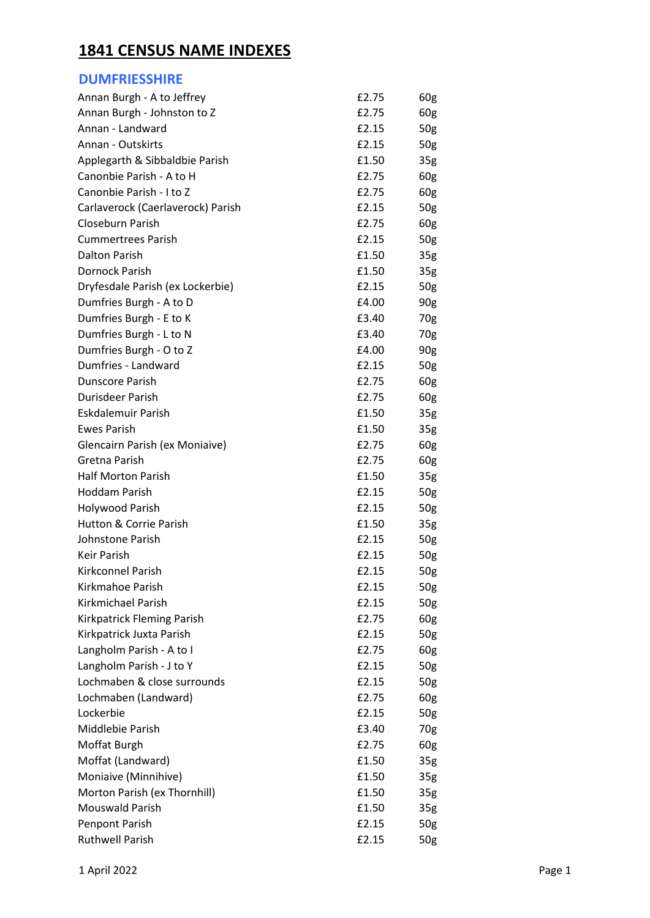## **1841 CENSUS NAME INDEXES**

### **DUMFRIESSHIRE**

| Annan Burgh - A to Jeffrey        | £2.75 | 60g             |
|-----------------------------------|-------|-----------------|
| Annan Burgh - Johnston to Z       | £2.75 | 60g             |
| Annan - Landward                  | £2.15 | 50 <sub>g</sub> |
| Annan - Outskirts                 | £2.15 | 50 <sub>g</sub> |
| Applegarth & Sibbaldbie Parish    | £1.50 | 35 <sub>g</sub> |
| Canonbie Parish - A to H          | £2.75 | 60g             |
| Canonbie Parish - I to Z          | £2.75 | 60g             |
| Carlaverock (Caerlaverock) Parish | £2.15 | 50 <sub>g</sub> |
| Closeburn Parish                  | £2.75 | 60g             |
| <b>Cummertrees Parish</b>         | £2.15 | 50 <sub>g</sub> |
| Dalton Parish                     | £1.50 | 35 <sub>g</sub> |
| Dornock Parish                    | £1.50 | 35 <sub>g</sub> |
| Dryfesdale Parish (ex Lockerbie)  | £2.15 | 50g             |
| Dumfries Burgh - A to D           | £4.00 | 90 <sub>g</sub> |
| Dumfries Burgh - E to K           | £3.40 | 70g             |
| Dumfries Burgh - L to N           | £3.40 | 70g             |
| Dumfries Burgh - O to Z           | £4.00 | 90 <sub>g</sub> |
| Dumfries - Landward               | £2.15 | 50g             |
| <b>Dunscore Parish</b>            | £2.75 | 60g             |
| Durisdeer Parish                  | £2.75 | 60g             |
| Eskdalemuir Parish                | £1.50 | 35g             |
| <b>Ewes Parish</b>                | £1.50 | 35 <sub>g</sub> |
| Glencairn Parish (ex Moniaive)    | £2.75 | 60g             |
| Gretna Parish                     | £2.75 | 60g             |
| <b>Half Morton Parish</b>         | £1.50 | 35 <sub>g</sub> |
| <b>Hoddam Parish</b>              | £2.15 | 50 <sub>g</sub> |
| Holywood Parish                   | £2.15 | 50 <sub>g</sub> |
| <b>Hutton &amp; Corrie Parish</b> | £1.50 | 35 <sub>g</sub> |
| Johnstone Parish                  | £2.15 | 50 <sub>g</sub> |
| Keir Parish                       | £2.15 | 50g             |
| Kirkconnel Parish                 | £2.15 | 50g             |
| <b>Kirkmahoe Parish</b>           | £2.15 | 50g             |
| Kirkmichael Parish                | £2.15 | 50g             |
| Kirkpatrick Fleming Parish        | £2.75 | 60g             |
| Kirkpatrick Juxta Parish          | £2.15 | 50g             |
| Langholm Parish - A to I          | £2.75 | 60g             |
| Langholm Parish - J to Y          | £2.15 | 50 <sub>g</sub> |
| Lochmaben & close surrounds       | £2.15 | 50 <sub>g</sub> |
| Lochmaben (Landward)              | £2.75 | 60g             |
| Lockerbie                         | £2.15 | 50g             |
| Middlebie Parish                  | £3.40 | 70g             |
| Moffat Burgh                      | £2.75 | 60g             |
| Moffat (Landward)                 | £1.50 | 35 <sub>g</sub> |
| Moniaive (Minnihive)              | £1.50 | 35 <sub>g</sub> |
| Morton Parish (ex Thornhill)      | £1.50 | 35 <sub>g</sub> |
| <b>Mouswald Parish</b>            | £1.50 | 35 <sub>g</sub> |
| Penpont Parish                    | £2.15 | 50g             |
| <b>Ruthwell Parish</b>            | £2.15 | 50g             |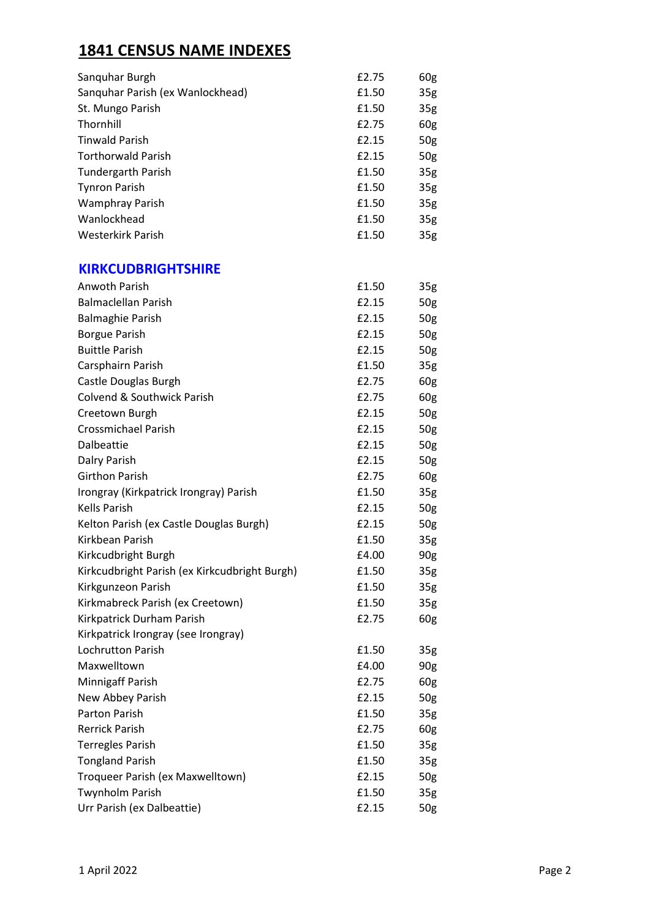# **1841 CENSUS NAME INDEXES**

| £2.75 | 60 <sub>g</sub> |
|-------|-----------------|
| £1.50 | 35 <sub>g</sub> |
| £1.50 | 35 <sub>g</sub> |
| £2.75 | 60 <sub>g</sub> |
| £2.15 | 50 <sub>g</sub> |
| £2.15 | 50 <sub>g</sub> |
| £1.50 | 35 <sub>g</sub> |
| £1.50 | 35 <sub>g</sub> |
| £1.50 | 35 <sub>g</sub> |
| £1.50 | 35 <sub>g</sub> |
| £1.50 | 35 <sub>g</sub> |
|       |                 |

#### **KIRKCUDBRIGHTSHIRE**

| <b>Anwoth Parish</b>                          | £1.50 | 35g             |
|-----------------------------------------------|-------|-----------------|
| <b>Balmaclellan Parish</b>                    | £2.15 | 50g             |
| <b>Balmaghie Parish</b>                       | £2.15 | 50g             |
| <b>Borgue Parish</b>                          | £2.15 | 50g             |
| <b>Buittle Parish</b>                         | £2.15 | 50g             |
| Carsphairn Parish                             | £1.50 | 35 <sub>g</sub> |
| Castle Douglas Burgh                          | £2.75 | 60g             |
| <b>Colvend &amp; Southwick Parish</b>         | £2.75 | 60g             |
| Creetown Burgh                                | £2.15 | 50g             |
| <b>Crossmichael Parish</b>                    | £2.15 | 50g             |
| Dalbeattie                                    | £2.15 | 50g             |
| Dalry Parish                                  | £2.15 | 50g             |
| <b>Girthon Parish</b>                         | £2.75 | 60g             |
| Irongray (Kirkpatrick Irongray) Parish        | £1.50 | 35 <sub>g</sub> |
| <b>Kells Parish</b>                           | £2.15 | 50g             |
| Kelton Parish (ex Castle Douglas Burgh)       | £2.15 | 50g             |
| Kirkbean Parish                               | £1.50 | 35 <sub>g</sub> |
| Kirkcudbright Burgh                           | £4.00 | 90g             |
| Kirkcudbright Parish (ex Kirkcudbright Burgh) | £1.50 | 35 <sub>g</sub> |
| Kirkgunzeon Parish                            | £1.50 | 35 <sub>g</sub> |
| Kirkmabreck Parish (ex Creetown)              | £1.50 | 35 <sub>g</sub> |
| Kirkpatrick Durham Parish                     | £2.75 | 60g             |
| Kirkpatrick Irongray (see Irongray)           |       |                 |
| <b>Lochrutton Parish</b>                      | £1.50 | 35 <sub>g</sub> |
| Maxwelltown                                   | £4.00 | 90 <sub>g</sub> |
| Minnigaff Parish                              | £2.75 | 60g             |
| New Abbey Parish                              | £2.15 | 50g             |
| <b>Parton Parish</b>                          | £1.50 | 35 <sub>g</sub> |
| <b>Rerrick Parish</b>                         | £2.75 | 60g             |
| <b>Terregles Parish</b>                       | £1.50 | 35 <sub>g</sub> |
| <b>Tongland Parish</b>                        | £1.50 | 35 <sub>g</sub> |
| Troqueer Parish (ex Maxwelltown)              | £2.15 | 50g             |
| <b>Twynholm Parish</b>                        | £1.50 | 35 <sub>g</sub> |
| Urr Parish (ex Dalbeattie)                    | £2.15 | 50g             |